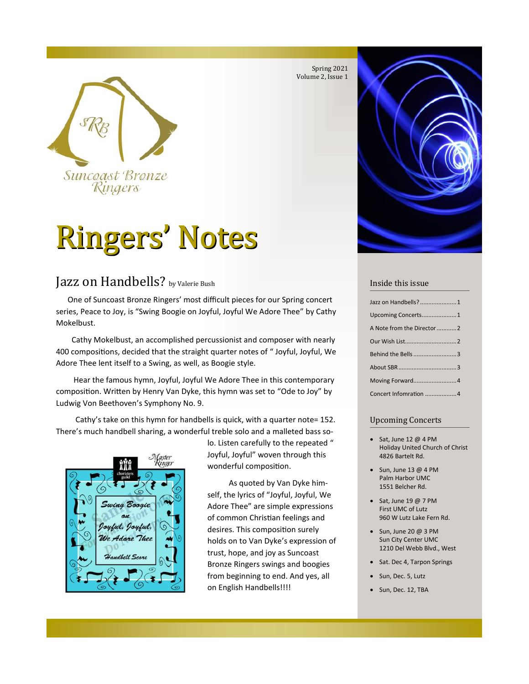



# **Ringers' Notes**

## Jazz on Handbells? by Valerie Bush

One of Suncoast Bronze Ringers' most difficult pieces for our Spring concert series, Peace to Joy, is "Swing Boogie on Joyful, Joyful We Adore Thee" by Cathy Mokelbust.

Cathy Mokelbust, an accomplished percussionist and composer with nearly 400 compositions, decided that the straight quarter notes of " Joyful, Joyful, We Adore Thee lent itself to a Swing, as well, as Boogie style.

Hear the famous hymn, Joyful, Joyful We Adore Thee in this contemporary composition. Written by Henry Van Dyke, this hymn was set to "Ode to Joy" by Ludwig Von Beethoven's Symphony No. 9.

Cathy's take on this hymn for handbells is quick, with a quarter note= 152. There's much handbell sharing, a wonderful treble solo and a malleted bass so-



lo. Listen carefully to the repeated " Joyful, Joyful" woven through this wonderful composition.

As quoted by Van Dyke himself, the lyrics of "Joyful, Joyful, We Adore Thee" are simple expressions of common Christian feelings and desires. This composition surely holds on to Van Dyke's expression of trust, hope, and joy as Suncoast Bronze Ringers swings and boogies from beginning to end. And yes, all on English Handbells!!!!



#### Inside this issue

| Jazz on Handbells?1        |
|----------------------------|
| Upcoming Concerts1         |
| A Note from the Director 2 |
|                            |
| Behind the Bells 3         |
|                            |
| Moving Forward4            |
| Concert Infomration 4      |

#### Upcoming Concerts

- Sat, June 12 @ 4 PM Holiday United Church of Christ 4826 Bartelt Rd.
- $\bullet$  Sun, June 13 @ 4 PM Palm Harbor UMC 1551 Belcher Rd.
- Sat, June 19 @ 7 PM First UMC of Lutz 960 W Lutz Lake Fern Rd.
- $\bullet$  Sun, June 20 @ 3 PM Sun City Center UMC 1210 Del Webb Blvd., West
- Sat. Dec 4, Tarpon Springs
- Sun, Dec. 5, Lutz
- Sun, Dec. 12, TBA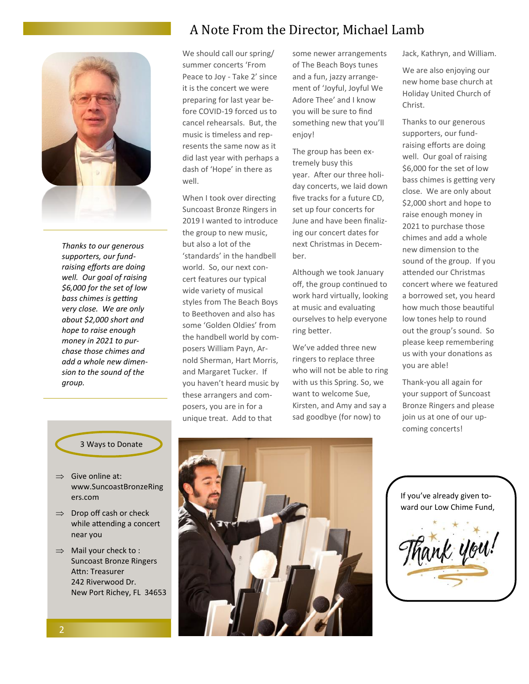

*Thanks to our generous supporters, our fundraising efforts are doing well. Our goal of raising \$6,000 for the set of low bass chimes is getting very close. We are only about \$2,000 short and hope to raise enough money in 2021 to purchase those chimes and add a whole new dimension to the sound of the group.*

## A Note From the Director, Michael Lamb

We should call our spring/ summer concerts 'From Peace to Joy - Take 2' since it is the concert we were preparing for last year before COVID-19 forced us to cancel rehearsals. But, the music is timeless and represents the same now as it did last year with perhaps a dash of 'Hope' in there as well.

When I took over directing Suncoast Bronze Ringers in 2019 I wanted to introduce the group to new music, but also a lot of the 'standards' in the handbell world. So, our next concert features our typical wide variety of musical styles from The Beach Boys to Beethoven and also has some 'Golden Oldies' from the handbell world by composers William Payn, Arnold Sherman, Hart Morris, and Margaret Tucker. If you haven't heard music by these arrangers and composers, you are in for a unique treat. Add to that

some newer arrangements of The Beach Boys tunes and a fun, jazzy arrangement of 'Joyful, Joyful We Adore Thee' and I know you will be sure to find something new that you'll enjoy!

The group has been extremely busy this year. After our three holiday concerts, we laid down five tracks for a future CD, set up four concerts for June and have been finalizing our concert dates for next Christmas in December.

Although we took January off, the group continued to work hard virtually, looking at music and evaluating ourselves to help everyone ring better.

We've added three new ringers to replace three who will not be able to ring with us this Spring. So, we want to welcome Sue, Kirsten, and Amy and say a sad goodbye (for now) to

Jack, Kathryn, and William.

We are also enjoying our new home base church at Holiday United Church of Christ.

Thanks to our generous supporters, our fundraising efforts are doing well. Our goal of raising \$6,000 for the set of low bass chimes is getting very close. We are only about \$2,000 short and hope to raise enough money in 2021 to purchase those chimes and add a whole new dimension to the sound of the group. If you attended our Christmas concert where we featured a borrowed set, you heard how much those beautiful low tones help to round out the group's sound. So please keep remembering us with your donations as you are able!

Thank-you all again for your support of Suncoast Bronze Ringers and please join us at one of our upcoming concerts!



If you've already given toward our Low Chime Fund,



#### 3 Ways to Donate

- $\Rightarrow$  Give online at: www.SuncoastBronzeRing ers.com
- $\Rightarrow$  Drop off cash or check while attending a concert near you
- $\Rightarrow$  Mail your check to : Suncoast Bronze Ringers Attn: Treasurer 242 Riverwood Dr. New Port Richey, FL 34653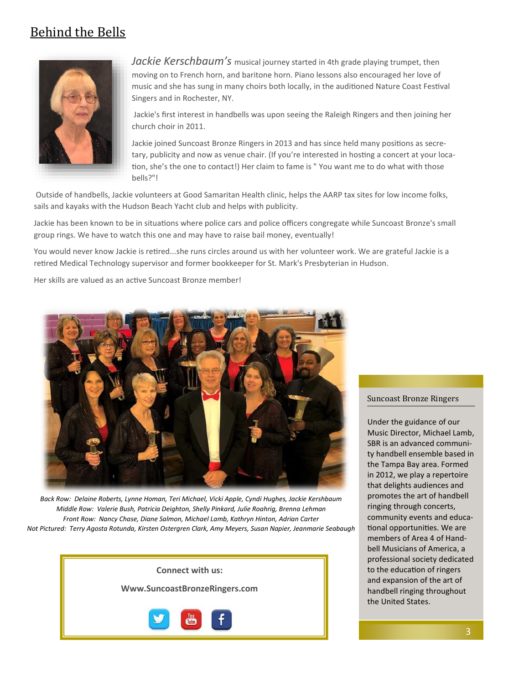## Behind the Bells



*Jackie Kerschbaum's* musical journey started in 4th grade playing trumpet, then moving on to French horn, and baritone horn. Piano lessons also encouraged her love of music and she has sung in many choirs both locally, in the auditioned Nature Coast Festival Singers and in Rochester, NY.

Jackie's first interest in handbells was upon seeing the Raleigh Ringers and then joining her church choir in 2011.

Jackie joined Suncoast Bronze Ringers in 2013 and has since held many positions as secretary, publicity and now as venue chair. (If you're interested in hosting a concert at your location, she's the one to contact!) Her claim to fame is " You want me to do what with those bells?"!

Outside of handbells, Jackie volunteers at Good Samaritan Health clinic, helps the AARP tax sites for low income folks, sails and kayaks with the Hudson Beach Yacht club and helps with publicity.

Jackie has been known to be in situations where police cars and police officers congregate while Suncoast Bronze's small group rings. We have to watch this one and may have to raise bail money, eventually!

You would never know Jackie is retired...she runs circles around us with her volunteer work. We are grateful Jackie is a retired Medical Technology supervisor and former bookkeeper for St. Mark's Presbyterian in Hudson.

Her skills are valued as an active Suncoast Bronze member!



*Back Row: Delaine Roberts, Lynne Homan, Teri Michael, Vicki Apple, Cyndi Hughes, Jackie Kershbaum Middle Row: Valerie Bush, Patricia Deighton, Shelly Pinkard, Julie Roahrig, Brenna Lehman Front Row: Nancy Chase, Diane Salmon, Michael Lamb, Kathryn Hinton, Adrian Carter Not Pictured: Terry Agosta Rotunda, Kirsten Ostergren Clark, Amy Meyers, Susan Napier, Jeanmarie Seabaugh*



#### Suncoast Bronze Ringers

Under the guidance of our Music Director, Michael Lamb, SBR is an advanced community handbell ensemble based in the Tampa Bay area. Formed in 2012, we play a repertoire that delights audiences and promotes the art of handbell ringing through concerts, community events and educational opportunities. We are members of Area 4 of Handbell Musicians of America, a professional society dedicated to the education of ringers and expansion of the art of handbell ringing throughout the United States.